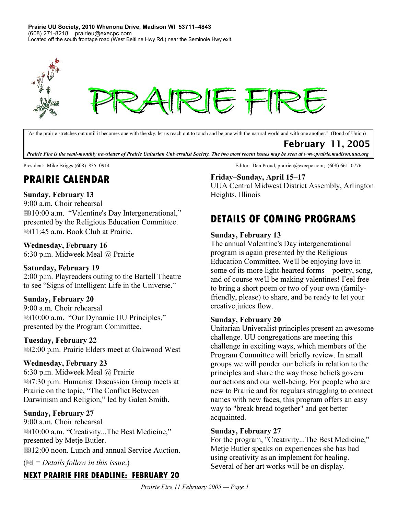**Prairie UU Society, 2010 Whenona Drive, Madison WI 53711–4843** (608) 271-8218 prairieu@execpc.com Located off the south frontage road (West Beltline Hwy Rd.) near the Seminole Hwy exit.



*"*As the prairie stretches out until it becomes one with the sky, let us reach out to touch and be one with the natural world and with one another." (Bond of Union)

# February 11, 2005

*Prairie Fire is the semi-monthly newsletter of Prairie Unitarian Universalist Society. The two most recent issues may be seen at www.prairie.madison.uua.org*

# **PRAIRIE CALENDAR**

## **Sunday, February 13**

9:00 a.m. Choir rehearsal **■10:00 a.m. "Valentine's Day Intergenerational,"** presented by the Religious Education Committee. **■11:45 a.m. Book Club at Prairie.** 

#### **Wednesday, February 16**

6:30 p.m. Midweek Meal @ Prairie

### **Saturday, February 19**

2:00 p.m. Playreaders outing to the Bartell Theatre to see "Signs of Intelligent Life in the Universe."

### **Sunday, February 20**

9:00 a.m. Choir rehearsal ■10:00 a.m. "Our Dynamic UU Principles," presented by the Program Committee.

### **Tuesday, February 22**

2:00 p.m. Prairie Elders meet at Oakwood West

#### **Wednesday, February 23**

6:30 p.m. Midweek Meal @ Prairie 17:30 p.m. Humanist Discussion Group meets at Prairie on the topic, "The Conflict Between Darwinism and Religion," led by Galen Smith.

#### **Sunday, February 27**

9:00 a.m. Choir rehearsal 10:00 a.m. "Creativity...The Best Medicine," presented by Metje Butler. **■12:00 noon. Lunch and annual Service Auction.** 

( *= Details follow in this issue*.)

# **NEXT PRAIRIE FIRE DEADLINE: FEBRUARY 20**

President: Mike Briggs (608) 835–0914 **Editor:** Dan Proud, prairieu@execpc.com; (608) 661–0776

### **Friday–Sunday, April 15–17**

UUA Central Midwest District Assembly, Arlington Heights, Illinois

# **DETAILS OF COMING PROGRAMS**

#### **Sunday, February 13**

The annual Valentine's Day intergenerational program is again presented by the Religious Education Committee. We'll be enjoying love in some of its more light-hearted forms—poetry, song, and of course we'll be making valentines! Feel free to bring a short poem or two of your own (familyfriendly, please) to share, and be ready to let your creative juices flow.

### **Sunday, February 20**

Unitarian Univeralist principles present an awesome challenge. UU congregations are meeting this challenge in exciting ways, which members of the Program Committee will briefly review. In small groups we will ponder our beliefs in relation to the principles and share the way those beliefs govern our actions and our well-being. For people who are new to Prairie and for regulars struggling to connect names with new faces, this program offers an easy way to "break bread together" and get better acquainted.

#### **Sunday, February 27**

For the program, "Creativity...The Best Medicine," Metje Butler speaks on experiences she has had using creativity as an implement for healing. Several of her art works will be on display.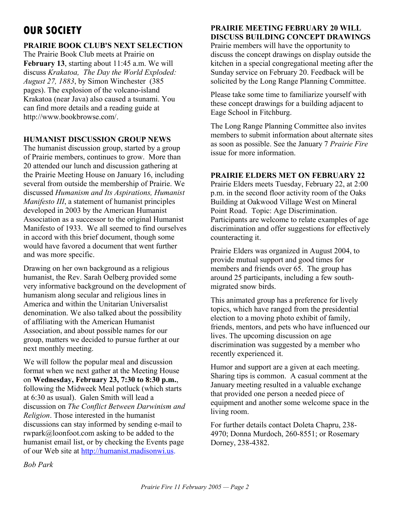# **OUR SOCIETY**

## **PRAIRIE BOOK CLUB'S NEXT SELECTION**

The Prairie Book Club meets at Prairie on **February 13**, starting about 11:45 a.m. We will discuss *Krakatoa, The Day the World Exploded: August 27, 1883*, by Simon Winchester (385 pages). The explosion of the volcano-island Krakatoa (near Java) also caused a tsunami. You can find more details and a reading guide at http://www.bookbrowse.com/.

### **HUMANIST DISCUSSION GROUP NEWS**

The humanist discussion group, started by a group of Prairie members, continues to grow. More than 20 attended our lunch and discussion gathering at the Prairie Meeting House on January 16, including several from outside the membership of Prairie. We discussed *Humanism and Its Aspirations, Humanist Manifesto III*, a statement of humanist principles developed in 2003 by the American Humanist Association as a successor to the original Humanist Manifesto of 1933. We all seemed to find ourselves in accord with this brief document, though some would have favored a document that went further and was more specific.

Drawing on her own background as a religious humanist, the Rev. Sarah Oelberg provided some very informative background on the development of humanism along secular and religious lines in America and within the Unitarian Universalist denomination. We also talked about the possibility of affiliating with the American Humanist Association, and about possible names for our group, matters we decided to pursue further at our next monthly meeting.

We will follow the popular meal and discussion format when we next gather at the Meeting House on **Wednesday, February 23, 7:30 to 8:30 p.m.**, following the Midweek Meal potluck (which starts at 6:30 as usual). Galen Smith will lead a discussion on *The Conflict Between Darwinism and Religion*. Those interested in the humanist discussions can stay informed by sending e-mail to rwpark@loonfoot.com asking to be added to the humanist email list, or by checking the Events page of our Web site at http://humanist.madisonwi.us.

# **PRAIRIE MEETING FEBRUARY 20 WILL DISCUSS BUILDING CONCEPT DRAWINGS**

Prairie members will have the opportunity to discuss the concept drawings on display outside the kitchen in a special congregational meeting after the Sunday service on February 20. Feedback will be solicited by the Long Range Planning Committee.

Please take some time to familiarize yourself with these concept drawings for a building adjacent to Eage School in Fitchburg.

The Long Range Planning Committee also invites members to submit information about alternate sites as soon as possible. See the January 7 *Prairie Fire* issue for more information.

# **PRAIRIE ELDERS MET ON FEBRUARY 22**

Prairie Elders meets Tuesday, February 22, at 2:00 p.m. in the second floor activity room of the Oaks Building at Oakwood Village West on Mineral Point Road. Topic: Age Discrimination. Participants are welcome to relate examples of age discrimination and offer suggestions for effectively counteracting it.

Prairie Elders was organized in August 2004, to provide mutual support and good times for members and friends over 65. The group has around 25 participants, including a few southmigrated snow birds.

This animated group has a preference for lively topics, which have ranged from the presidential election to a moving photo exhibit of family, friends, mentors, and pets who have influenced our lives. The upcoming discussion on age discrimination was suggested by a member who recently experienced it.

Humor and support are a given at each meeting. Sharing tips is common. A casual comment at the January meeting resulted in a valuable exchange that provided one person a needed piece of equipment and another some welcome space in the living room.

For further details contact Doleta Chapru, 238- 4970; Donna Murdoch, 260-8551; or Rosemary Dorney, 238-4382.

*Bob Park*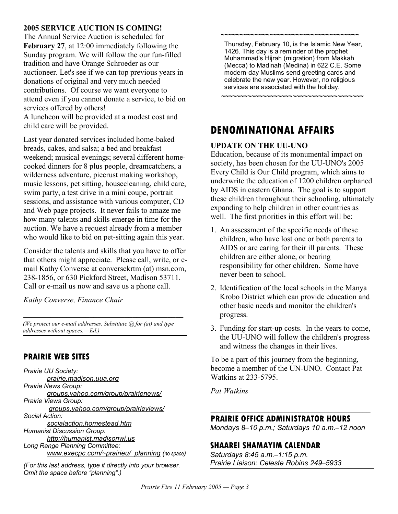#### **2005 SERVICE AUCTION IS COMING!**

The Annual Service Auction is scheduled for **February 27**, at 12:00 immediately following the Sunday program. We will follow the our fun-filled tradition and have Orange Schroeder as our auctioneer. Let's see if we can top previous years in donations of original and very much needed contributions. Of course we want everyone to attend even if you cannot donate a service, to bid on services offered by others! A luncheon will be provided at a modest cost and child care will be provided.

Last year donated services included home-baked breads, cakes, and salsa; a bed and breakfast weekend; musical evenings; several different homecooked dinners for 8 plus people, dreamcatchers, a wilderness adventure, piecrust making workshop, music lessons, pet sitting, housecleaning, child care, swim party, a test drive in a mini coupe, portrait sessions, and assistance with various computer, CD and Web page projects. It never fails to amaze me how many talents and skills emerge in time for the auction. We have a request already from a member who would like to bid on pet-sitting again this year.

Consider the talents and skills that you have to offer that others might appreciate. Please call, write, or email Kathy Converse at conversekrtm (at) msn.com, 238-1856, or 630 Pickford Street, Madison 53711. Call or e-mail us now and save us a phone call.

*Kathy Converse, Finance Chair*

*(We protect our e-mail addresses. Substitute @ for (at) and type addresses without spaces.―Ed.)*

 $\mathcal{L}_\text{max}$  , and the set of the set of the set of the set of the set of the set of the set of the set of the set of the set of the set of the set of the set of the set of the set of the set of the set of the set of the

# **PRAIRIE WEB SITES**

*Prairie UU Society: prairie.madison.uua.org Prairie News Group: groups.yahoo.com/group/prairienews/ Prairie Views Group: groups.yahoo.com/group/prairieviews/ Social Action: socialaction.homestead.htm Humanist Discussion Group: http://humanist.madisonwi.us Long Range Planning Committee: www.execpc.com/~prairieu/ planning (no space)*

*(For this last address, type it directly into your browser. Omit the space before "planning".)*

Thursday, February 10, is the Islamic New Year, 1426. This day is a reminder of the prophet Muhammad's Hijrah (migration) from Makkah (Mecca) to Madinah (Medina) in 622 C.E. Some modern-day Muslims send greeting cards and celebrate the new year. However, no religious services are associated with the holiday.

**~~~~~~~~~~~~~~~~~~~~~~~~~~~~~~~~~~~~~~**

**~~~~~~~~~~~~~~~~~~~~~~~~~~~~~~~~~~~~~**

# **DENOMINATIONAL AFFAIRS**

#### **UPDATE ON THE UU-UNO**

Education, because of its monumental impact on society, has been chosen for the UU-UNO's 2005 Every Child is Our Child program, which aims to underwrite the education of 1200 children orphaned by AIDS in eastern Ghana. The goal is to support these children throughout their schooling, ultimately expanding to help children in other countries as well. The first priorities in this effort will be:

- 1. An assessment of the specific needs of these children, who have lost one or both parents to AIDS or are caring for their ill parents. These children are either alone, or bearing responsibility for other children. Some have never been to school.
- 2. Identification of the local schools in the Manya Krobo District which can provide education and other basic needs and monitor the children's progress.
- 3. Funding for start-up costs. In the years to come, the UU-UNO will follow the children's progress and witness the changes in their lives.

To be a part of this journey from the beginning, become a member of the UN-UNO. Contact Pat Watkins at 233-5795.

*Pat Watkins*

#### **PRAIRIE OFFICE ADMINISTRATOR HOURS**

*Mondays 8–10 p.m.; Saturdays 10 a.m.–12 noon*

 $\mathcal{L}_\text{max}$  , and the set of the set of the set of the set of the set of the set of the set of the set of the set of the set of the set of the set of the set of the set of the set of the set of the set of the set of the

# **SHAAREI SHAMAYIM CALENDAR**

*Saturdays 8:45 a.m.–1:15 p.m. Prairie Liaison: Celeste Robins 249–5933*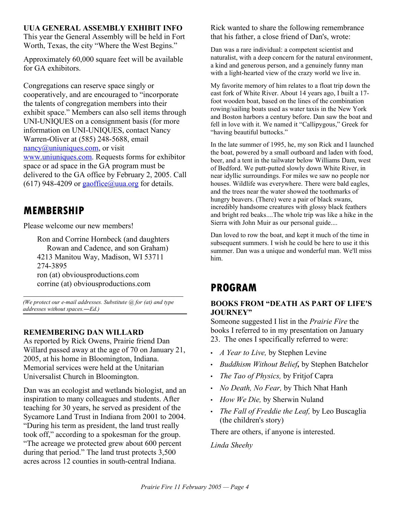## **UUA GENERAL ASSEMBLY EXHIBIT INFO**

This year the General Assembly will be held in Fort Worth, Texas, the city "Where the West Begins."

Approximately 60,000 square feet will be available for GA exhibitors.

Congregations can reserve space singly or cooperatively, and are encouraged to "incorporate the talents of congregation members into their exhibit space." Members can also sell items through UNI-UNIQUES on a consignment basis (for more information on UNI-UNIQUES, contact Nancy Warren-Oliver at (585) 248-5688, email nancy@uniuniques.com, or visit www.uniuniques.com. Requests forms for exhibitor space or ad space in the GA program must be delivered to the GA office by February 2, 2005. Call (617) 948-4209 or  $\frac{\text{gaoffice}(a)$  uua.org for details.

# **MEMBERSHIP**

Please welcome our new members!

Ron and Corrine Hornbeck (and daughters Rowan and Cadence, and son Graham) 4213 Manitou Way, Madison, WI 53711 274-3895 ron (at) obviousproductions.com corrine (at) obviousproductions.com

*(We protect our e-mail addresses. Substitute @ for (at) and type addresses without spaces.―Ed.)*

 $\mathcal{L}_\text{max}$  , and the set of the set of the set of the set of the set of the set of the set of the set of the set of the set of the set of the set of the set of the set of the set of the set of the set of the set of the

# **REMEMBERING DAN WILLARD**

As reported by Rick Owens, Prairie friend Dan Willard passed away at the age of 70 on January 21, 2005, at his home in Bloomington, Indiana. Memorial services were held at the Unitarian Universalist Church in Bloomington.

Dan was an ecologist and wetlands biologist, and an inspiration to many colleagues and students. After teaching for 30 years, he served as president of the Sycamore Land Trust in Indiana from 2001 to 2004. "During his term as president, the land trust really took off," according to a spokesman for the group. "The acreage we protected grew about 600 percent during that period." The land trust protects 3,500 acres across 12 counties in south-central Indiana.

Rick wanted to share the following remembrance that his father, a close friend of Dan's, wrote:

Dan was a rare individual: a competent scientist and naturalist, with a deep concern for the natural environment, a kind and generous person, and a genuinely funny man with a light-hearted view of the crazy world we live in.

My favorite memory of him relates to a float trip down the east fork of White River. About 14 years ago, I built a 17 foot wooden boat, based on the lines of the combination rowing/sailing boats used as water taxis in the New York and Boston harbors a century before. Dan saw the boat and fell in love with it. We named it "Callipygous," Greek for "having beautiful buttocks."

In the late summer of 1995, he, my son Rick and I launched the boat, powered by a small outboard and laden with food, beer, and a tent in the tailwater below Williams Dam, west of Bedford. We putt-putted slowly down White River, in near idyllic surroundings. For miles we saw no people nor houses. Wildlife was everywhere. There were bald eagles, and the trees near the water showed the toothmarks of hungry beavers. (There) were a pair of black swans, incredibly handsome creatures with glossy black feathers and bright red beaks....The whole trip was like a hike in the Sierra with John Muir as our personal guide....

Dan loved to row the boat, and kept it much of the time in subsequent summers. I wish he could be here to use it this summer. Dan was a unique and wonderful man. We'll miss him.

# **PROGRAM**

## **BOOKS FROM "DEATH AS PART OF LIFE'S JOURNEY"**

Someone suggested I list in the *Prairie Fire* the books I referred to in my presentation on January 23. The ones I specifically referred to were:

- *A Year to Live,* by Stephen Levine
- *Buddhism Without Belief,* by Stephen Batchelor
- *The Tao of Physics,* by Fritjof Capra
- *No Death, No Fear,* by Thich Nhat Hanh
- *How We Die,* by Sherwin Nuland
- *The Fall of Freddie the Leaf,* by Leo Buscaglia (the children's story)

There are others, if anyone is interested.

*Linda Sheehy*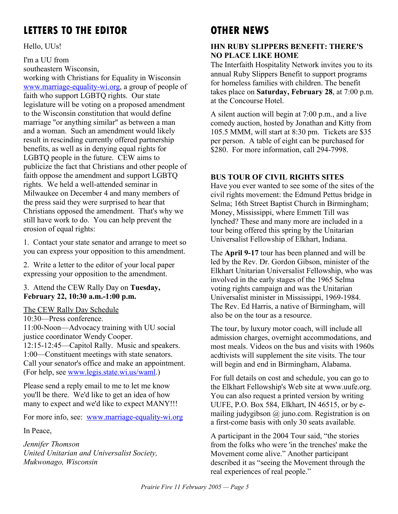# **LETTERS TO THE EDITOR**

Hello, UUs!

I'm a UU from southeastern Wisconsin,

working with Christians for Equality in Wisconsin www.marriage-equality-wi.org, a group of people of faith who support LGBTQ rights. Our state legislature will be voting on a proposed amendment to the Wisconsin constitution that would define marriage "or anything similar" as between a man and a woman. Such an amendment would likely result in rescinding currently offered partnership benefits, as well as in denying equal rights for LGBTQ people in the future. CEW aims to publicize the fact that Christians and other people of faith oppose the amendment and support LGBTQ rights. We held a well-attended seminar in Milwaukee on December 4 and many members of the press said they were surprised to hear that Christians opposed the amendment. That's why we still have work to do. You can help prevent the erosion of equal rights:

1. Contact your state senator and arrange to meet so you can express your opposition to this amendment.

2. Write a letter to the editor of your local paper expressing your opposition to the amendment.

3. Attend the CEW Rally Day on **Tuesday, February 22, 10:30 a.m.-1:00 p.m.**

The CEW Rally Day Schedule 10:30—Press conference.

11:00-Noon—Advocacy training with UU social justice coordinator Wendy Cooper. 12:15-12:45—Capitol Rally. Music and speakers. 1:00—Constituent meetings with state senators. Call your senator's office and make an appointment. (For help, see www.legis.state.wi.us/waml.)

Please send a reply email to me to let me know you'll be there. We'd like to get an idea of how many to expect and we'd like to expect MANY!!!

For more info, see: www.marriage-equality-wi.org

In Peace,

*Jennifer Thomson United Unitarian and Universalist Society, Mukwonago, Wisconsin*

# **OTHER NEWS**

# **IHN RUBY SLIPPERS BENEFIT: THERE'S NO PLACE LIKE HOME**

The Interfaith Hospitality Network invites you to its annual Ruby Slippers Benefit to support programs for homeless families with children. The benefit takes place on **Saturday, February 28**, at 7:00 p.m. at the Concourse Hotel.

A silent auction will begin at 7:00 p.m., and a live comedy auction, hosted by Jonathan and Kitty from 105.5 MMM, will start at 8:30 pm. Tickets are \$35 per person. A table of eight can be purchased for \$280. For more information, call 294-7998.

# **BUS TOUR OF CIVIL RIGHTS SITES**

Have you ever wanted to see some of the sites of the civil rights movement: the Edmund Pettus bridge in Selma; 16th Street Baptist Church in Birmingham; Money, Mississippi, where Emmett Till was lynched? These and many more are included in a tour being offered this spring by the Unitarian Universalist Fellowship of Elkhart, Indiana.

The **April 9-17** tour has been planned and will be led by the Rev. Dr. Gordon Gibson, minister of the Elkhart Unitarian Universalist Fellowship, who was involved in the early stages of the 1965 Selma voting rights campaign and was the Unitarian Universalist minister in Mississippi, 1969-1984. The Rev. Ed Harris, a native of Birmingham, will also be on the tour as a resource.

The tour, by luxury motor coach, will include all admission charges, overnight accommodations, and most meals. Videos on the bus and visits with 1960s acdtivists will supplement the site visits. The tour will begin and end in Birmingham, Alabama.

For full details on cost and schedule, you can go to the Elkhart Fellowship's Web site at www.uufe.org. You can also request a printed version by writing UUFE, P.O. Box 584, Elkhart, IN 46515, or by emailing judygibson  $\omega$  juno.com. Registration is on a first-come basis with only 30 seats available.

A participant in the 2004 Tour said, "the stories from the folks who were 'in the trenches' make the Movement come alive." Another participant described it as "seeing the Movement through the real experiences of real people."